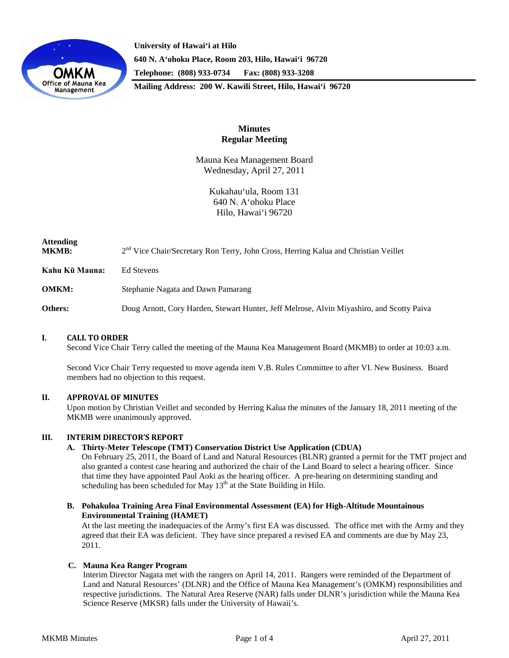

**University of Hawai'i at Hilo 640 N. A'ohoku Place, Room 203, Hilo, Hawai'i 96720 Telephone: (808) 933-0734 Fax: (808) 933-3208 Mailing Address: 200 W. Kawili Street, Hilo, Hawai'i 96720**

# **Minutes Regular Meeting**

Mauna Kea Management Board Wednesday, April 27, 2011

> Kukahau'ula, Room 131 640 N. A'ohoku Place Hilo, Hawai'i 96720

| Attending<br><b>MKMB:</b> | 2 <sup>nd</sup> Vice Chair/Secretary Ron Terry, John Cross, Herring Kalua and Christian Veillet |
|---------------------------|-------------------------------------------------------------------------------------------------|
| Kahu Kū Mauna:            | Ed Stevens                                                                                      |
| <b>OMKM:</b>              | Stephanie Nagata and Dawn Pamarang                                                              |

**Others:** Doug Arnott, Cory Harden, Stewart Hunter, Jeff Melrose, Alvin Miyashiro, and Scotty Paiva

## **I. CALL TO ORDER**

Second Vice Chair Terry called the meeting of the Mauna Kea Management Board (MKMB) to order at 10:03 a.m.

Second Vice Chair Terry requested to move agenda item V.B. Rules Committee to after VI. New Business. Board members had no objection to this request.

## **II. APPROVAL OF MINUTES**

Upon motion by Christian Veillet and seconded by Herring Kalua the minutes of the January 18, 2011 meeting of the MKMB were unanimously approved.

### **III. INTERIM DIRECTOR'S REPORT**

#### **A. Thirty-Meter Telescope (TMT) Conservation District Use Application (CDUA)**

On February 25, 2011, the Board of Land and Natural Resources (BLNR) granted a permit for the TMT project and also granted a contest case hearing and authorized the chair of the Land Board to select a hearing officer. Since that time they have appointed Paul Aoki as the hearing officer. A pre-hearing on determining standing and scheduling has been scheduled for May  $13<sup>th</sup>$  at the State Building in Hilo.

**B. Pohakuloa Training Area Final Environmental Assessment (EA) for High-Altitude Mountainous Environmental Training (HAMET)**

At the last meeting the inadequacies of the Army's first EA was discussed. The office met with the Army and they agreed that their EA was deficient. They have since prepared a revised EA and comments are due by May 23, 2011.

### **C. Mauna Kea Ranger Program**

Interim Director Nagata met with the rangers on April 14, 2011. Rangers were reminded of the Department of Land and Natural Resources' (DLNR) and the Office of Mauna Kea Management's (OMKM) responsibilities and respective jurisdictions. The Natural Area Reserve (NAR) falls under DLNR's jurisdiction while the Mauna Kea Science Reserve (MKSR) falls under the University of Hawaii's.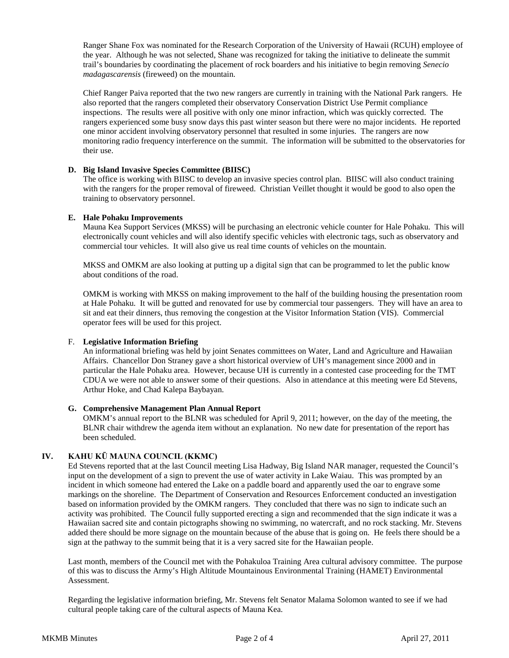Ranger Shane Fox was nominated for the Research Corporation of the University of Hawaii (RCUH) employee of the year. Although he was not selected, Shane was recognized for taking the initiative to delineate the summit trail's boundaries by coordinating the placement of rock boarders and his initiative to begin removing *Senecio madagascarensis* (fireweed) on the mountain.

Chief Ranger Paiva reported that the two new rangers are currently in training with the National Park rangers. He also reported that the rangers completed their observatory Conservation District Use Permit compliance inspections. The results were all positive with only one minor infraction, which was quickly corrected. The rangers experienced some busy snow days this past winter season but there were no major incidents. He reported one minor accident involving observatory personnel that resulted in some injuries. The rangers are now monitoring radio frequency interference on the summit. The information will be submitted to the observatories for their use.

### **D. Big Island Invasive Species Committee (BIISC)**

The office is working with BIISC to develop an invasive species control plan. BIISC will also conduct training with the rangers for the proper removal of fireweed. Christian Veillet thought it would be good to also open the training to observatory personnel.

#### **E. Hale Pohaku Improvements**

Mauna Kea Support Services (MKSS) will be purchasing an electronic vehicle counter for Hale Pohaku. This will electronically count vehicles and will also identify specific vehicles with electronic tags, such as observatory and commercial tour vehicles. It will also give us real time counts of vehicles on the mountain.

MKSS and OMKM are also looking at putting up a digital sign that can be programmed to let the public know about conditions of the road.

OMKM is working with MKSS on making improvement to the half of the building housing the presentation room at Hale Pohaku. It will be gutted and renovated for use by commercial tour passengers. They will have an area to sit and eat their dinners, thus removing the congestion at the Visitor Information Station (VIS). Commercial operator fees will be used for this project.

## F. **Legislative Information Briefing**

An informational briefing was held by joint Senates committees on Water, Land and Agriculture and Hawaiian Affairs. Chancellor Don Straney gave a short historical overview of UH's management since 2000 and in particular the Hale Pohaku area. However, because UH is currently in a contested case proceeding for the TMT CDUA we were not able to answer some of their questions. Also in attendance at this meeting were Ed Stevens, Arthur Hoke, and Chad Kalepa Baybayan.

#### **G. Comprehensive Management Plan Annual Report**

OMKM's annual report to the BLNR was scheduled for April 9, 2011; however, on the day of the meeting, the BLNR chair withdrew the agenda item without an explanation. No new date for presentation of the report has been scheduled.

## **IV. KAHU KŪ MAUNA COUNCIL (KKMC)**

Ed Stevens reported that at the last Council meeting Lisa Hadway, Big Island NAR manager, requested the Council's input on the development of a sign to prevent the use of water activity in Lake Waiau. This was prompted by an incident in which someone had entered the Lake on a paddle board and apparently used the oar to engrave some markings on the shoreline. The Department of Conservation and Resources Enforcement conducted an investigation based on information provided by the OMKM rangers. They concluded that there was no sign to indicate such an activity was prohibited. The Council fully supported erecting a sign and recommended that the sign indicate it was a Hawaiian sacred site and contain pictographs showing no swimming, no watercraft, and no rock stacking. Mr. Stevens added there should be more signage on the mountain because of the abuse that is going on. He feels there should be a sign at the pathway to the summit being that it is a very sacred site for the Hawaiian people.

Last month, members of the Council met with the Pohakuloa Training Area cultural advisory committee. The purpose of this was to discuss the Army's High Altitude Mountainous Environmental Training (HAMET) Environmental Assessment.

Regarding the legislative information briefing, Mr. Stevens felt Senator Malama Solomon wanted to see if we had cultural people taking care of the cultural aspects of Mauna Kea.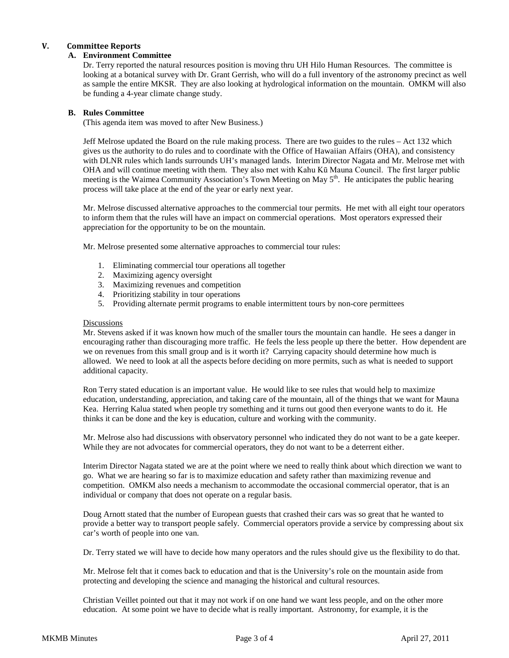## **V. Committee Reports**

## **A. Environment Committee**

Dr. Terry reported the natural resources position is moving thru UH Hilo Human Resources. The committee is looking at a botanical survey with Dr. Grant Gerrish, who will do a full inventory of the astronomy precinct as well as sample the entire MKSR. They are also looking at hydrological information on the mountain. OMKM will also be funding a 4-year climate change study.

## **B. Rules Committee**

(This agenda item was moved to after New Business.)

Jeff Melrose updated the Board on the rule making process. There are two guides to the rules – Act 132 which gives us the authority to do rules and to coordinate with the Office of Hawaiian Affairs (OHA), and consistency with DLNR rules which lands surrounds UH's managed lands. Interim Director Nagata and Mr. Melrose met with OHA and will continue meeting with them. They also met with Kahu Kū Mauna Council. The first larger public meeting is the Waimea Community Association's Town Meeting on May 5<sup>th</sup>. He anticipates the public hearing process will take place at the end of the year or early next year.

Mr. Melrose discussed alternative approaches to the commercial tour permits. He met with all eight tour operators to inform them that the rules will have an impact on commercial operations. Most operators expressed their appreciation for the opportunity to be on the mountain.

Mr. Melrose presented some alternative approaches to commercial tour rules:

- 1. Eliminating commercial tour operations all together
- 2. Maximizing agency oversight
- 3. Maximizing revenues and competition
- 4. Prioritizing stability in tour operations
- 5. Providing alternate permit programs to enable intermittent tours by non-core permittees

#### **Discussions**

Mr. Stevens asked if it was known how much of the smaller tours the mountain can handle. He sees a danger in encouraging rather than discouraging more traffic. He feels the less people up there the better. How dependent are we on revenues from this small group and is it worth it? Carrying capacity should determine how much is allowed. We need to look at all the aspects before deciding on more permits, such as what is needed to support additional capacity.

Ron Terry stated education is an important value. He would like to see rules that would help to maximize education, understanding, appreciation, and taking care of the mountain, all of the things that we want for Mauna Kea. Herring Kalua stated when people try something and it turns out good then everyone wants to do it. He thinks it can be done and the key is education, culture and working with the community.

Mr. Melrose also had discussions with observatory personnel who indicated they do not want to be a gate keeper. While they are not advocates for commercial operators, they do not want to be a deterrent either.

Interim Director Nagata stated we are at the point where we need to really think about which direction we want to go. What we are hearing so far is to maximize education and safety rather than maximizing revenue and competition. OMKM also needs a mechanism to accommodate the occasional commercial operator, that is an individual or company that does not operate on a regular basis.

Doug Arnott stated that the number of European guests that crashed their cars was so great that he wanted to provide a better way to transport people safely. Commercial operators provide a service by compressing about six car's worth of people into one van.

Dr. Terry stated we will have to decide how many operators and the rules should give us the flexibility to do that.

Mr. Melrose felt that it comes back to education and that is the University's role on the mountain aside from protecting and developing the science and managing the historical and cultural resources.

Christian Veillet pointed out that it may not work if on one hand we want less people, and on the other more education. At some point we have to decide what is really important. Astronomy, for example, it is the